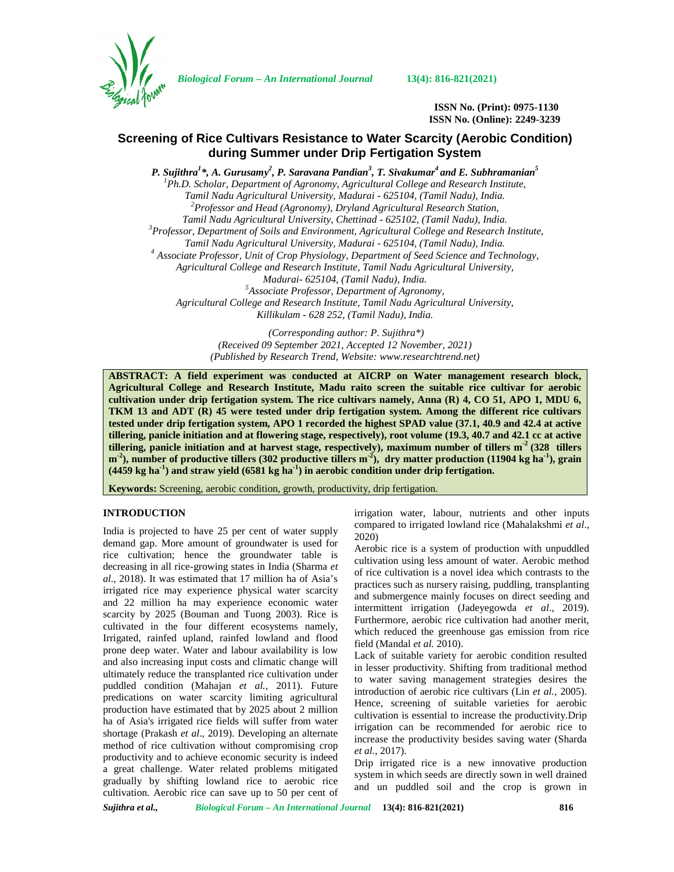

*Biological Forum – An International Journal* **13(4): 816-821(2021)**

**ISSN No. (Print): 0975-1130 ISSN No. (Online): 2249-3239**

# **Screening of Rice Cultivars Resistance to Water Scarcity (Aerobic Condition) during Summer under Drip Fertigation System**

*P. Sujithra<sup>1</sup>\*, A. Gurusamy<sup>2</sup> , P. Saravana Pandian<sup>3</sup> , T. Sivakumar<sup>4</sup> and E. Subhramanian<sup>5</sup> <sup>1</sup>Ph.D. Scholar, Department of Agronomy, Agricultural College and Research Institute, Tamil Nadu Agricultural University, Madurai - 625104, (Tamil Nadu), India. <sup>2</sup>Professor and Head (Agronomy), Dryland Agricultural Research Station,* Tamil Nadu Agricultural University, Chettinad - 625102, (Tamil Nadu), India.<br><sup>3</sup> Professor, Department of Soils and Environment, Agricultural College and Research Institute, *Tamil Nadu Agricultural University, Madurai - 625104, (Tamil Nadu), India. <sup>4</sup> Associate Professor, Unit of Crop Physiology, Department of Seed Science and Technology, Agricultural College and Research Institute, Tamil Nadu Agricultural University, Madurai- 625104, (Tamil Nadu), India. <sup>5</sup>Associate Professor, Department of Agronomy, Agricultural College and Research Institute, Tamil Nadu Agricultural University, Killikulam - 628 252, (Tamil Nadu), India.*

*(Corresponding author: P. Sujithra\*) (Received 09 September 2021, Accepted 12 November, 2021) (Published by Research Trend, Website: [www.researchtrend.net\)](www.researchtrend.net)*

**ABSTRACT: A field experiment was conducted at AICRP on Water management research block, Agricultural College and Research Institute, Madu raito screen the suitable rice cultivar for aerobic cultivation under drip fertigation system. The rice cultivars namely, Anna (R) 4, CO 51, APO 1, MDU 6, TKM 13 and ADT (R) 45 were tested under drip fertigation system. Among the different rice cultivars tested under drip fertigation system, APO 1 recorded the highest SPAD value (37.1, 40.9 and 42.4 at active tillering, panicle initiation and at flowering stage, respectively), root volume (19.3, 40.7 and 42.1 cc at active tillering, panicle initiation and at harvest stage, respectively), maximum number of tillers m-2 (328 tillers m -2), number of productive tillers (302 productive tillers m-2), dry matter production (11904 kg ha-1), grain (4459 kg ha-1) and straw yield (6581 kg ha-1) in aerobic condition under drip fertigation.**

**Keywords:** Screening, aerobic condition, growth, productivity, drip fertigation.

# **INTRODUCTION**

India is projected to have 25 per cent of water supply demand gap. More amount of groundwater is used for rice cultivation; hence the groundwater table is decreasing in all rice-growing states in India (Sharma *et al*., 2018). It was estimated that 17 million ha of Asia's irrigated rice may experience physical water scarcity and 22 million ha may experience economic water scarcity by 2025 (Bouman and Tuong 2003). Rice is cultivated in the four different ecosystems namely, Irrigated, rainfed upland, rainfed lowland and flood prone deep water. Water and labour availability is low and also increasing input costs and climatic change will ultimately reduce the transplanted rice cultivation under puddled condition (Mahajan *et al.,* 2011). Future predications on water scarcity limiting agricultural production have estimated that by 2025 about 2 million ha of Asia's irrigated rice fields will suffer from water shortage (Prakash *et al*., 2019). Developing an alternate method of rice cultivation without compromising crop productivity and to achieve economic security is indeed a great challenge. Water related problems mitigated gradually by shifting lowland rice to aerobic rice cultivation. Aerobic rice can save up to 50 per cent of

irrigation water, labour, nutrients and other inputs compared to irrigated lowland rice (Mahalakshmi *et al*., 2020)

Aerobic rice is a system of production with unpuddled cultivation using less amount of water. Aerobic method of rice cultivation is a novel idea which contrasts to the practices such as nursery raising, puddling, transplanting and submergence mainly focuses on direct seeding and intermittent irrigation (Jadeyegowda *et al*., 2019). Furthermore, aerobic rice cultivation had another merit, which reduced the greenhouse gas emission from rice field (Mandal *et al.* 2010).

Lack of suitable variety for aerobic condition resulted in lesser productivity. Shifting from traditional method to water saving management strategies desires the introduction of aerobic rice cultivars (Lin *et al.,* 2005). Hence, screening of suitable varieties for aerobic cultivation is essential to increase the productivity.Drip irrigation can be recommended for aerobic rice to increase the productivity besides saving water (Sharda *et al.*, 2017).

Drip irrigated rice is a new innovative production system in which seeds are directly sown in well drained and un puddled soil and the crop is grown in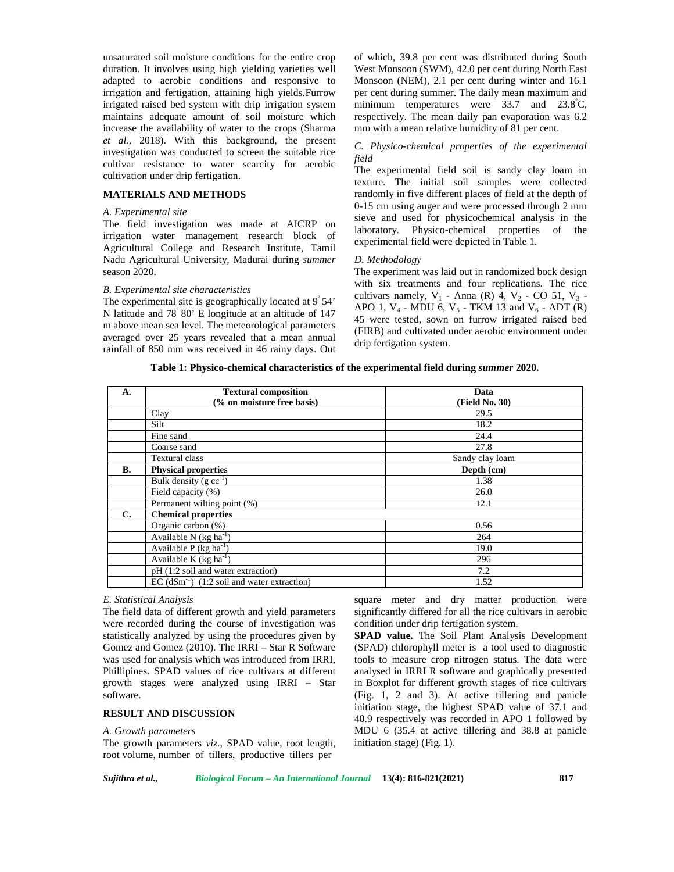unsaturated soil moisture conditions for the entire crop duration. It involves using high yielding varieties well adapted to aerobic conditions and responsive to irrigation and fertigation, attaining high yields.Furrow irrigated raised bed system with drip irrigation system maintains adequate amount of soil moisture which increase the availability of water to the crops (Sharma *et al.,* 2018). With this background, the present investigation was conducted to screen the suitable rice cultivar resistance to water scarcity for aerobic cultivation under drip fertigation.

#### **MATERIALS AND METHODS**

### *A. Experimental site*

The field investigation was made at AICRP on irrigation water management research block of Agricultural College and Research Institute, Tamil Nadu Agricultural University, Madurai during *summer* season 2020.

#### *B. Experimental site characteristics*

The experimental site is geographically located at  $9°54'$ N latitude and 78<sup>º</sup> 80' E longitude at an altitude of 147 m above mean sea level. The meteorological parameters averaged over 25 years revealed that a mean annual rainfall of 850 mm was received in 46 rainy days. Out

of which, 39.8 per cent was distributed during South West Monsoon (SWM), 42.0 per cent during North East Monsoon (NEM), 2.1 per cent during winter and 16.1 per cent during summer. The daily mean maximum and minimum temperatures were  $33.7$  and  $23.8^{\circ}$ C, respectively. The mean daily pan evaporation was 6.2 mm with a mean relative humidity of 81 per cent.

# *C. Physico-chemical properties of the experimental field*

The experimental field soil is sandy clay loam in texture. The initial soil samples were collected randomly in five different places of field at the depth of 0-15 cm using auger and were processed through 2 mm sieve and used for physicochemical analysis in the laboratory. Physico-chemical properties of the experimental field were depicted in Table 1.

#### *D. Methodology*

The experiment was laid out in randomized bock design with six treatments and four replications. The rice cultivars namely,  $V_1$  - Anna (R) 4,  $V_2$  - CO 51,  $V_3$  -APO 1,  $V_4$  - MDU 6,  $V_5$  - TKM 13 and  $V_6$  - ADT (R) 45 were tested, sown on furrow irrigated raised bed (FIRB) and cultivated under aerobic environment under drip fertigation system.

**Table 1: Physico-chemical characteristics of the experimental field during** *summer* **2020.**

| A.        | <b>Textural composition</b>                                          | Data            |
|-----------|----------------------------------------------------------------------|-----------------|
|           | (% on moisture free basis)                                           | (Field No. 30)  |
|           | Clay                                                                 | 29.5            |
|           | Silt                                                                 | 18.2            |
|           | Fine sand                                                            | 24.4            |
|           | Coarse sand                                                          | 27.8            |
|           | <b>Textural class</b>                                                | Sandy clay loam |
| <b>B.</b> | <b>Physical properties</b>                                           | Depth (cm)      |
|           | Bulk density $(g cc^{-1})$                                           | 1.38            |
|           | Field capacity (%)                                                   | 26.0            |
|           | Permanent wilting point (%)                                          | 12.1            |
| C.        | <b>Chemical properties</b>                                           |                 |
|           | Organic carbon (%)                                                   | 0.56            |
|           | Available N $(kg ha-1)$                                              | 264             |
|           | Available P $(kg \overline{ha^{-1}})$                                | 19.0            |
|           | Available K $(kg ha-1)$                                              | 296             |
|           | pH (1:2 soil and water extraction)                                   | 7.2             |
|           | $\overline{EC}$ (dSm <sup>-1</sup> ) (1:2 soil and water extraction) | 1.52            |

# *E. Statistical Analysis*

The field data of different growth and yield parameters were recorded during the course of investigation was statistically analyzed by using the procedures given by Gomez and Gomez (2010). The IRRI – Star R Software was used for analysis which was introduced from IRRI, Phillipines. SPAD values of rice cultivars at different growth stages were analyzed using IRRI – Star software.

#### **RESULT AND DISCUSSION**

#### *A. Growth parameters*

The growth parameters *viz.,* SPAD value, root length, root volume, number of tillers, productive tillers per

square meter and dry matter production were significantly differed for all the rice cultivars in aerobic condition under drip fertigation system.

**SPAD value.** The Soil Plant Analysis Development (SPAD) chlorophyll meter is a tool used to diagnostic tools to measure crop nitrogen status. The data were analysed in IRRI R software and graphically presented in Boxplot for different growth stages of rice cultivars (Fig. 1, 2 and 3). At active tillering and panicle initiation stage, the highest SPAD value of 37.1 and 40.9 respectively was recorded in APO 1 followed by MDU 6 (35.4 at active tillering and 38.8 at panicle initiation stage) (Fig. 1).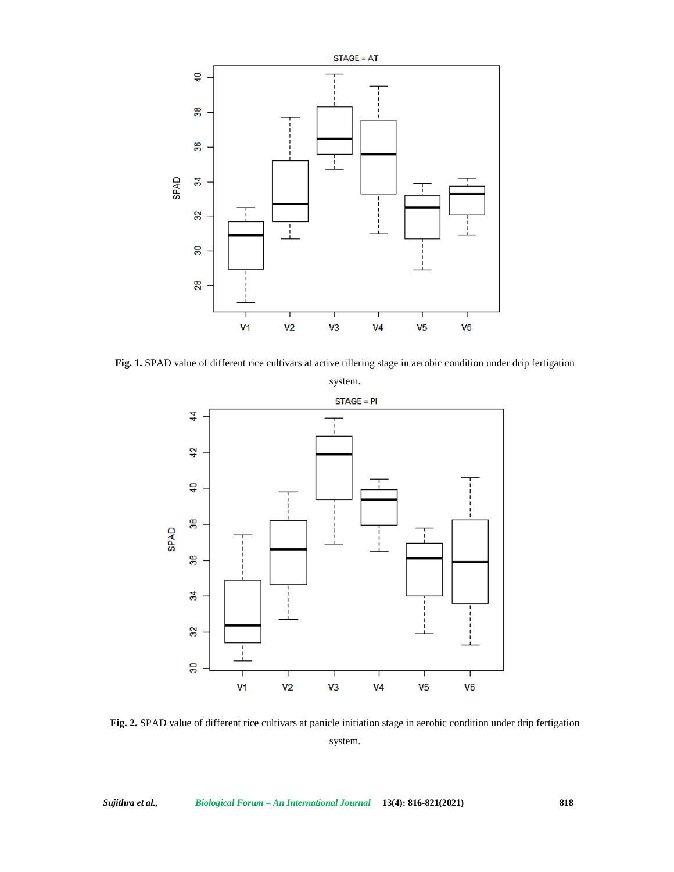

**Fig. 1.** SPAD value of different rice cultivars at active tillering stage in aerobic condition under drip fertigation



**Fig. 2.** SPAD value of different rice cultivars at panicle initiation stage in aerobic condition under drip fertigation system.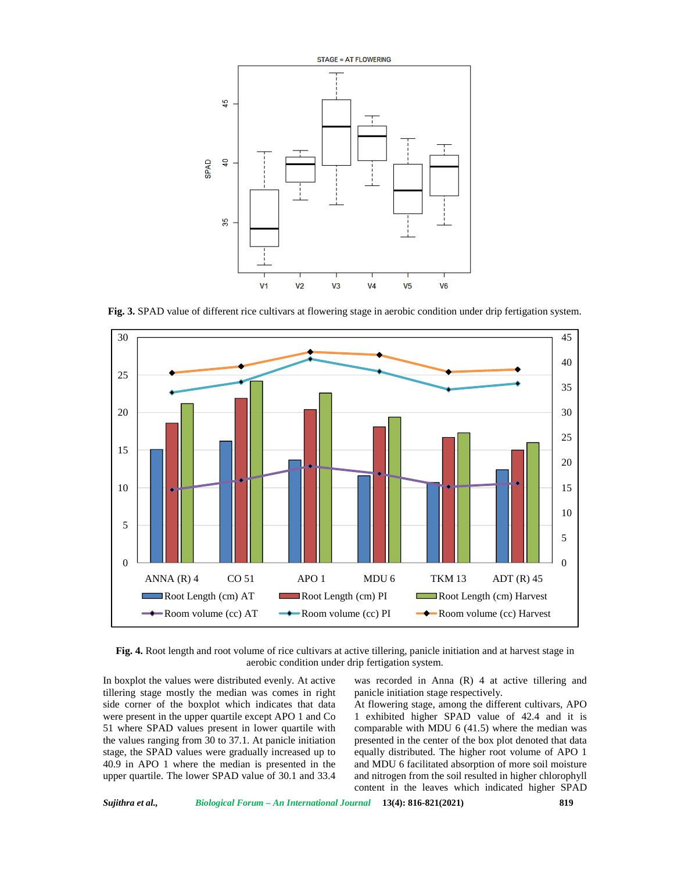

**Fig. 3.** SPAD value of different rice cultivars at flowering stage in aerobic condition under drip fertigation system.



**Fig. 4.** Root length and root volume of rice cultivars at active tillering, panicle initiation and at harvest stage in aerobic condition under drip fertigation system.

In boxplot the values were distributed evenly. At active tillering stage mostly the median was comes in right side corner of the boxplot which indicates that data were present in the upper quartile except APO 1 and Co 51 where SPAD values present in lower quartile with the values ranging from 30 to 37.1. At panicle initiation stage, the SPAD values were gradually increased up to 40.9 in APO 1 where the median is presented in the upper quartile. The lower SPAD value of 30.1 and 33.4

was recorded in Anna (R) 4 at active tillering and panicle initiation stage respectively.

At flowering stage, among the different cultivars, APO 1 exhibited higher SPAD value of 42.4 and it is comparable with MDU 6 (41.5) where the median was presented in the center of the box plot denoted that data equally distributed. The higher root volume of APO 1 and MDU 6 facilitated absorption of more soil moisture and nitrogen from the soil resulted in higher chlorophyll content in the leaves which indicated higher SPAD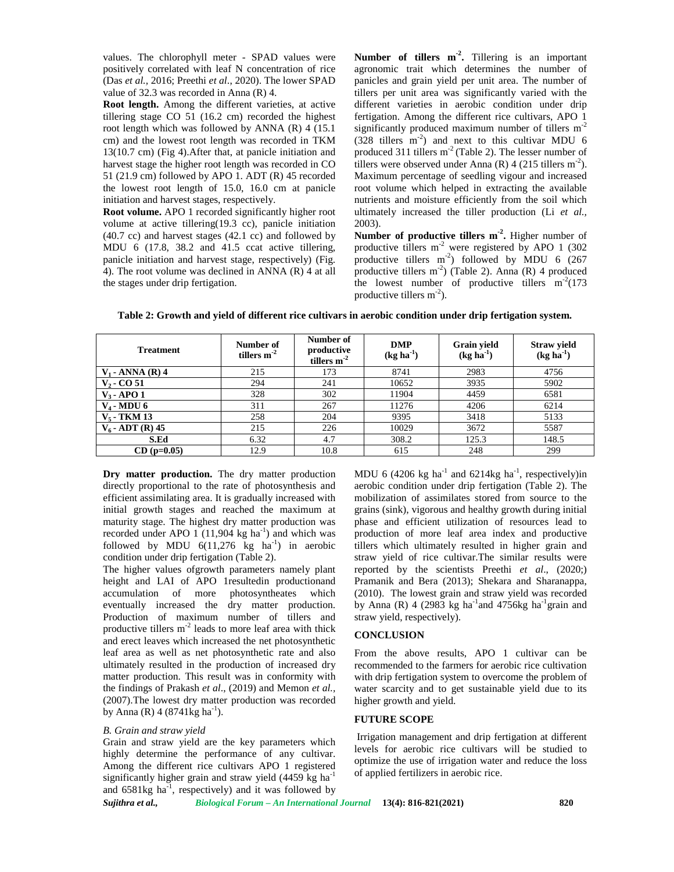values. The chlorophyll meter - SPAD values were positively correlated with leaf N concentration of rice (Das *et al.,* 2016; Preethi *et al*., 2020). The lower SPAD value of 32.3 was recorded in Anna (R) 4.

**Root length.** Among the different varieties, at active tillering stage CO 51 (16.2 cm) recorded the highest root length which was followed by ANNA (R) 4 (15.1 cm) and the lowest root length was recorded in TKM 13(10.7 cm) (Fig 4).After that, at panicle initiation and harvest stage the higher root length was recorded in CO 51 (21.9 cm) followed by APO 1. ADT (R) 45 recorded the lowest root length of 15.0, 16.0 cm at panicle initiation and harvest stages, respectively.

**Root volume.** APO 1 recorded significantly higher root volume at active tillering(19.3 cc), panicle initiation  $(40.7 \text{ cc})$  and harvest stages  $(42.1 \text{ cc})$  and followed by MDU 6 (17.8, 38.2 and 41.5 ccat active tillering, panicle initiation and harvest stage, respectively) (Fig. 4). The root volume was declined in ANNA (R) 4 at all the stages under drip fertigation.

**Number of tillers m-2 .** Tillering is an important agronomic trait which determines the number of panicles and grain yield per unit area. The number of tillers per unit area was significantly varied with the different varieties in aerobic condition under drip fertigation. Among the different rice cultivars, APO 1 significantly produced maximum number of tillers  $m<sup>-2</sup>$  $(328 \text{ tillers } m^2)$  and next to this cultivar MDU 6 produced 311 tillers  $m<sup>2</sup>$  (Table 2). The lesser number of tillers were observed under Anna (R) 4 (215 tillers  $m^{-2}$ ). Maximum percentage of seedling vigour and increased root volume which helped in extracting the available nutrients and moisture efficiently from the soil which ultimately increased the tiller production (Li *et al.,* 2003).

**Number of productive tillers m-2 .** Higher number of productive tillers  $m<sup>2</sup>$  were registered by APO 1 (302) productive tillers  $m<sup>-2</sup>$ ) followed by MDU 6 (267) productive tillers  $m^{-2}$ ) (Table 2). Anna (R) 4 produced the lowest number of productive tillers  $m<sup>-2</sup>(173)$ productive tillers  $m<sup>-2</sup>$ ).

|  | Table 2: Growth and yield of different rice cultivars in aerobic condition under drip fertigation system. |  |  |
|--|-----------------------------------------------------------------------------------------------------------|--|--|
|--|-----------------------------------------------------------------------------------------------------------|--|--|

| <b>Treatment</b>   | Number of<br>tillers $m-2$ | Number of<br>productive<br>tillers $m-2$ | <b>DMP</b><br>$(kg ha-1)$ | <b>Grain yield</b><br>$(kg ha-1)$ | <b>Straw yield</b><br>$(kg ha-1)$ |
|--------------------|----------------------------|------------------------------------------|---------------------------|-----------------------------------|-----------------------------------|
| $V_1$ - ANNA (R) 4 | 215                        | 173                                      | 8741                      | 2983                              | 4756                              |
| $V2$ - CO 51       | 294                        | 241                                      | 10652                     | 3935                              | 5902                              |
| $V_3$ - APO 1      | 328                        | 302                                      | 11904                     | 4459                              | 6581                              |
| $V_4$ - MDU 6      | 311                        | 267                                      | 11276                     | 4206                              | 6214                              |
| $V_5$ - TKM 13     | 258                        | 204                                      | 9395                      | 3418                              | 5133                              |
| $V_6$ - ADT (R) 45 | 215                        | 226                                      | 10029                     | 3672                              | 5587                              |
| S.Ed               | 6.32                       | 4.7                                      | 308.2                     | 125.3                             | 148.5                             |
| $CD$ (p=0.05)      | 12.9                       | 10.8                                     | 615                       | 248                               | 299                               |

Dry matter production. The dry matter production directly proportional to the rate of photosynthesis and efficient assimilating area. It is gradually increased with initial growth stages and reached the maximum at maturity stage. The highest dry matter production was recorded under APO 1 (11,904 kg  $ha^{-1}$ ) and which was followed by MDU  $6(11,276 \text{ kg} \text{ ha}^{-1})$  in aerobic condition under drip fertigation (Table 2).

The higher values ofgrowth parameters namely plant height and LAI of APO 1resultedin productionand accumulation of more photosyntheates which eventually increased the dry matter production. Production of maximum number of tillers and productive tillers  $m^2$  leads to more leaf area with thick  $C\Omega$ and erect leaves which increased the net photosynthetic leaf area as well as net photosynthetic rate and also ultimately resulted in the production of increased dry matter production. This result was in conformity with the findings of Prakash *et al*., (2019) and Memon *et al.,* (2007).The lowest dry matter production was recorded by Anna (R)  $4(8741 \text{kg} \text{ha}^{-1})$ .

# *B. Grain and straw yield*

Grain and straw yield are the key parameters which highly determine the performance of any cultivar. Among the different rice cultivars APO 1 registered significantly higher grain and straw yield  $(4459 \text{ kg ha}^{-1})$ and  $6581\text{kg}$  ha<sup>-1</sup>, respectively) and it was followed by

MDU 6 (4206 kg ha<sup>-1</sup> and 6214kg ha<sup>-1</sup>, respectively)in aerobic condition under drip fertigation (Table 2). The mobilization of assimilates stored from source to the grains (sink), vigorous and healthy growth during initial phase and efficient utilization of resources lead to production of more leaf area index and productive tillers which ultimately resulted in higher grain and straw yield of rice cultivar.The similar results were reported by the scientists Preethi *et al*., (2020;) Pramanik and Bera (2013); Shekara and Sharanappa, (2010). The lowest grain and straw yield was recorded by Anna (R) 4 (2983 kg ha<sup>-1</sup>and 4756kg ha<sup>-1</sup>grain and straw yield, respectively).

# **CONCLUSION**

From the above results, APO 1 cultivar can be recommended to the farmers for aerobic rice cultivation with drip fertigation system to overcome the problem of water scarcity and to get sustainable yield due to its higher growth and yield.

#### **FUTURE SCOPE**

Irrigation management and drip fertigation at different levels for aerobic rice cultivars will be studied to optimize the use of irrigation water and reduce the loss of applied fertilizers in aerobic rice.